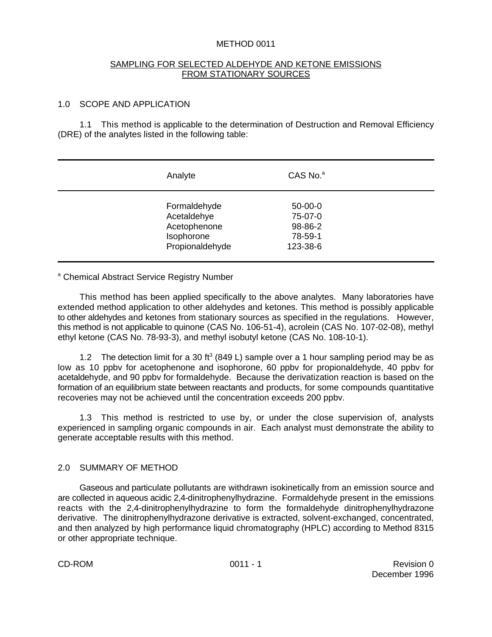## METHOD 0011

### SAMPLING FOR SELECTED ALDEHYDE AND KETONE EMISSIONS FROM STATIONARY SOURCES

## 1.0 SCOPE AND APPLICATION

1.1 This method is applicable to the determination of Destruction and Removal Efficiency (DRE) of the analytes listed in the following table:

| Analyte                                                                      | CAS No. <sup>a</sup>                                   |  |
|------------------------------------------------------------------------------|--------------------------------------------------------|--|
| Formaldehyde<br>Acetaldehye<br>Acetophenone<br>Isophorone<br>Propionaldehyde | $50-00-0$<br>75-07-0<br>98-86-2<br>78-59-1<br>123-38-6 |  |

<sup>a</sup> Chemical Abstract Service Registry Number

This method has been applied specifically to the above analytes. Many laboratories have extended method application to other aldehydes and ketones. This method is possibly applicable to other aldehydes and ketones from stationary sources as specified in the regulations. However, this method is not applicable to quinone (CAS No. 106-51-4), acrolein (CAS No. 107-02-08), methyl ethyl ketone (CAS No. 78-93-3), and methyl isobutyl ketone (CAS No. 108-10-1).

1.2 The detection limit for a 30 ft<sup>3</sup> (849 L) sample over a 1 hour sampling period may be as low as 10 ppbv for acetophenone and isophorone, 60 ppbv for propionaldehyde, 40 ppbv for acetaldehyde, and 90 ppbv for formaldehyde. Because the derivatization reaction is based on the formation of an equilibrium state between reactants and products, for some compounds quantitative recoveries may not be achieved until the concentration exceeds 200 ppbv.

1.3 This method is restricted to use by, or under the close supervision of, analysts experienced in sampling organic compounds in air. Each analyst must demonstrate the ability to generate acceptable results with this method.

## 2.0 SUMMARY OF METHOD

Gaseous and particulate pollutants are withdrawn isokinetically from an emission source and are collected in aqueous acidic 2,4-dinitrophenylhydrazine. Formaldehyde present in the emissions reacts with the 2,4-dinitrophenylhydrazine to form the formaldehyde dinitrophenylhydrazone derivative. The dinitrophenylhydrazone derivative is extracted, solvent-exchanged, concentrated, and then analyzed by high performance liquid chromatography (HPLC) according to Method 8315 or other appropriate technique.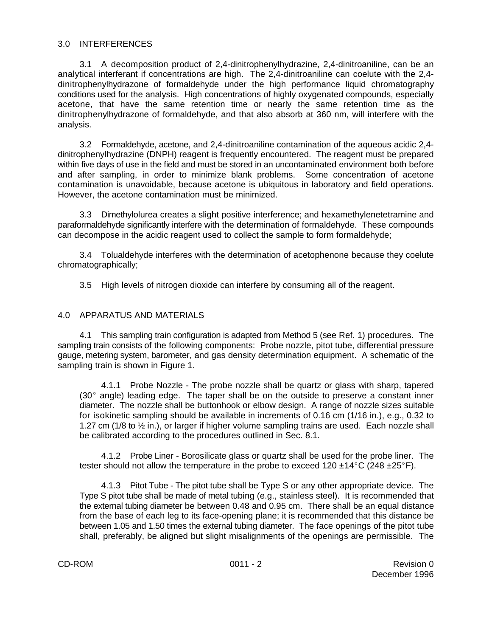## 3.0 INTERFERENCES

3.1 A decomposition product of 2,4-dinitrophenylhydrazine, 2,4-dinitroaniline, can be an analytical interferant if concentrations are high. The 2,4-dinitroaniline can coelute with the 2,4 dinitrophenylhydrazone of formaldehyde under the high performance liquid chromatography conditions used for the analysis. High concentrations of highly oxygenated compounds, especially acetone, that have the same retention time or nearly the same retention time as the dinitrophenylhydrazone of formaldehyde, and that also absorb at 360 nm, will interfere with the analysis.

3.2 Formaldehyde, acetone, and 2,4-dinitroaniline contamination of the aqueous acidic 2,4 dinitrophenylhydrazine (DNPH) reagent is frequently encountered. The reagent must be prepared within five days of use in the field and must be stored in an uncontaminated environment both before and after sampling, in order to minimize blank problems. Some concentration of acetone contamination is unavoidable, because acetone is ubiquitous in laboratory and field operations. However, the acetone contamination must be minimized.

3.3 Dimethylolurea creates a slight positive interference; and hexamethylenetetramine and paraformaldehyde significantly interfere with the determination of formaldehyde. These compounds can decompose in the acidic reagent used to collect the sample to form formaldehyde;

3.4 Tolualdehyde interferes with the determination of acetophenone because they coelute chromatographically;

3.5 High levels of nitrogen dioxide can interfere by consuming all of the reagent.

### 4.0 APPARATUS AND MATERIALS

4.1 This sampling train configuration is adapted from Method 5 (see Ref. 1) procedures. The sampling train consists of the following components: Probe nozzle, pitot tube, differential pressure gauge, metering system, barometer, and gas density determination equipment. A schematic of the sampling train is shown in Figure 1.

4.1.1 Probe Nozzle - The probe nozzle shall be quartz or glass with sharp, tapered  $(30^{\circ})$  angle) leading edge. The taper shall be on the outside to preserve a constant inner diameter. The nozzle shall be buttonhook or elbow design. A range of nozzle sizes suitable for isokinetic sampling should be available in increments of 0.16 cm (1/16 in.), e.g., 0.32 to 1.27 cm (1/8 to  $\frac{1}{2}$  in.), or larger if higher volume sampling trains are used. Each nozzle shall be calibrated according to the procedures outlined in Sec. 8.1.

4.1.2 Probe Liner - Borosilicate glass or quartz shall be used for the probe liner. The tester should not allow the temperature in the probe to exceed 120  $\pm$ 14°C (248  $\pm$ 25°F).

4.1.3 Pitot Tube - The pitot tube shall be Type S or any other appropriate device. The Type S pitot tube shall be made of metal tubing (e.g., stainless steel). It is recommended that the external tubing diameter be between 0.48 and 0.95 cm. There shall be an equal distance from the base of each leg to its face-opening plane; it is recommended that this distance be between 1.05 and 1.50 times the external tubing diameter. The face openings of the pitot tube shall, preferably, be aligned but slight misalignments of the openings are permissible. The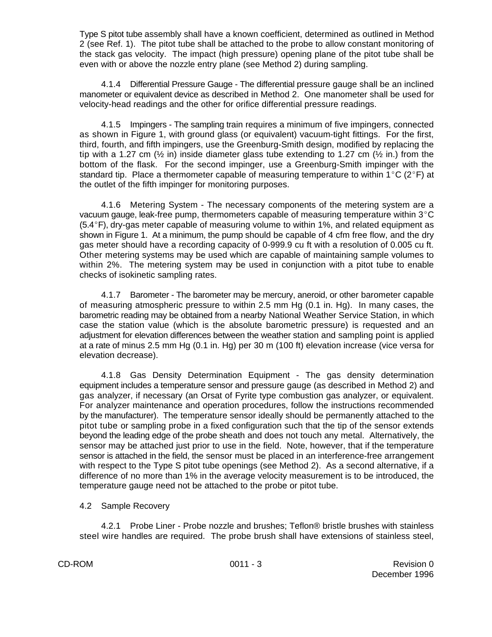Type S pitot tube assembly shall have a known coefficient, determined as outlined in Method 2 (see Ref. 1). The pitot tube shall be attached to the probe to allow constant monitoring of the stack gas velocity. The impact (high pressure) opening plane of the pitot tube shall be even with or above the nozzle entry plane (see Method 2) during sampling.

4.1.4 Differential Pressure Gauge - The differential pressure gauge shall be an inclined manometer or equivalent device as described in Method 2. One manometer shall be used for velocity-head readings and the other for orifice differential pressure readings.

4.1.5 Impingers - The sampling train requires a minimum of five impingers, connected as shown in Figure 1, with ground glass (or equivalent) vacuum-tight fittings. For the first, third, fourth, and fifth impingers, use the Greenburg-Smith design, modified by replacing the tip with a 1.27 cm  $(\frac{1}{2}$  in) inside diameter glass tube extending to 1.27 cm  $(\frac{1}{2}$  in.) from the bottom of the flask. For the second impinger, use a Greenburg-Smith impinger with the standard tip. Place a thermometer capable of measuring temperature to within 1°C (2°F) at the outlet of the fifth impinger for monitoring purposes.

4.1.6 Metering System - The necessary components of the metering system are a vacuum gauge, leak-free pump, thermometers capable of measuring temperature within  $3^{\circ}$ C  $(5.4^{\circ}F)$ , dry-gas meter capable of measuring volume to within 1%, and related equipment as shown in Figure 1. At a minimum, the pump should be capable of 4 cfm free flow, and the dry gas meter should have a recording capacity of 0-999.9 cu ft with a resolution of 0.005 cu ft. Other metering systems may be used which are capable of maintaining sample volumes to within 2%. The metering system may be used in conjunction with a pitot tube to enable checks of isokinetic sampling rates.

4.1.7 Barometer - The barometer may be mercury, aneroid, or other barometer capable of measuring atmospheric pressure to within 2.5 mm Hg (0.1 in. Hg). In many cases, the barometric reading may be obtained from a nearby National Weather Service Station, in which case the station value (which is the absolute barometric pressure) is requested and an adjustment for elevation differences between the weather station and sampling point is applied at a rate of minus 2.5 mm Hg (0.1 in. Hg) per 30 m (100 ft) elevation increase (vice versa for elevation decrease).

4.1.8 Gas Density Determination Equipment - The gas density determination equipment includes a temperature sensor and pressure gauge (as described in Method 2) and gas analyzer, if necessary (an Orsat of Fyrite type combustion gas analyzer, or equivalent. For analyzer maintenance and operation procedures, follow the instructions recommended by the manufacturer). The temperature sensor ideally should be permanently attached to the pitot tube or sampling probe in a fixed configuration such that the tip of the sensor extends beyond the leading edge of the probe sheath and does not touch any metal. Alternatively, the sensor may be attached just prior to use in the field. Note, however, that if the temperature sensor is attached in the field, the sensor must be placed in an interference-free arrangement with respect to the Type S pitot tube openings (see Method 2). As a second alternative, if a difference of no more than 1% in the average velocity measurement is to be introduced, the temperature gauge need not be attached to the probe or pitot tube.

## 4.2 Sample Recovery

4.2.1 Probe Liner - Probe nozzle and brushes; Teflon® bristle brushes with stainless steel wire handles are required. The probe brush shall have extensions of stainless steel,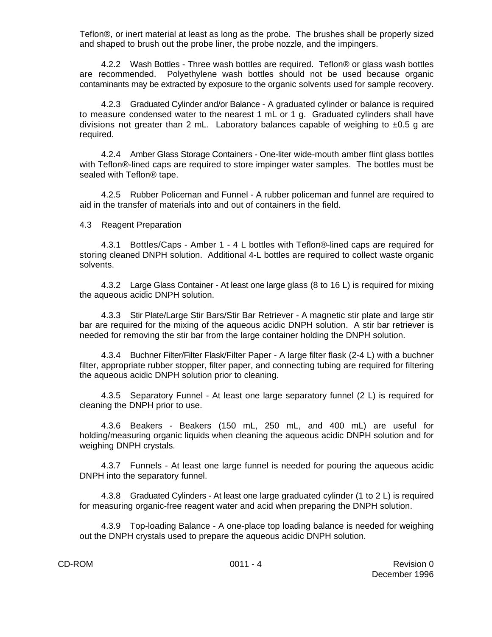Teflon®, or inert material at least as long as the probe. The brushes shall be properly sized and shaped to brush out the probe liner, the probe nozzle, and the impingers.

4.2.2 Wash Bottles - Three wash bottles are required. Teflon® or glass wash bottles are recommended. Polyethylene wash bottles should not be used because organic contaminants may be extracted by exposure to the organic solvents used for sample recovery.

4.2.3 Graduated Cylinder and/or Balance - A graduated cylinder or balance is required to measure condensed water to the nearest 1 mL or 1 g. Graduated cylinders shall have divisions not greater than 2 mL. Laboratory balances capable of weighing to  $\pm 0.5$  g are required.

4.2.4 Amber Glass Storage Containers - One-liter wide-mouth amber flint glass bottles with Teflon®-lined caps are required to store impinger water samples. The bottles must be sealed with Teflon® tape.

4.2.5 Rubber Policeman and Funnel - A rubber policeman and funnel are required to aid in the transfer of materials into and out of containers in the field.

4.3 Reagent Preparation

4.3.1 Bottles/Caps - Amber 1 - 4 L bottles with Teflon®-lined caps are required for storing cleaned DNPH solution. Additional 4-L bottles are required to collect waste organic solvents.

4.3.2 Large Glass Container - At least one large glass (8 to 16 L) is required for mixing the aqueous acidic DNPH solution.

4.3.3 Stir Plate/Large Stir Bars/Stir Bar Retriever - A magnetic stir plate and large stir bar are required for the mixing of the aqueous acidic DNPH solution. A stir bar retriever is needed for removing the stir bar from the large container holding the DNPH solution.

4.3.4 Buchner Filter/Filter Flask/Filter Paper - A large filter flask (2-4 L) with a buchner filter, appropriate rubber stopper, filter paper, and connecting tubing are required for filtering the aqueous acidic DNPH solution prior to cleaning.

4.3.5 Separatory Funnel - At least one large separatory funnel (2 L) is required for cleaning the DNPH prior to use.

4.3.6 Beakers - Beakers (150 mL, 250 mL, and 400 mL) are useful for holding/measuring organic liquids when cleaning the aqueous acidic DNPH solution and for weighing DNPH crystals.

4.3.7 Funnels - At least one large funnel is needed for pouring the aqueous acidic DNPH into the separatory funnel.

4.3.8 Graduated Cylinders - At least one large graduated cylinder (1 to 2 L) is required for measuring organic-free reagent water and acid when preparing the DNPH solution.

4.3.9 Top-loading Balance - A one-place top loading balance is needed for weighing out the DNPH crystals used to prepare the aqueous acidic DNPH solution.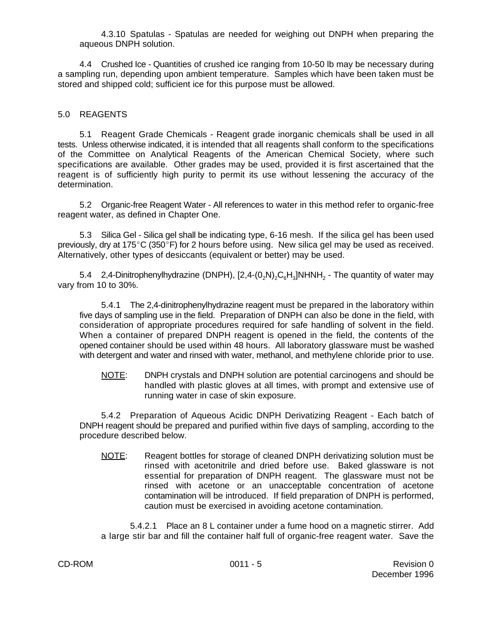4.3.10 Spatulas - Spatulas are needed for weighing out DNPH when preparing the aqueous DNPH solution.

4.4 Crushed Ice - Quantities of crushed ice ranging from 10-50 lb may be necessary during a sampling run, depending upon ambient temperature. Samples which have been taken must be stored and shipped cold; sufficient ice for this purpose must be allowed.

## 5.0 REAGENTS

5.1 Reagent Grade Chemicals - Reagent grade inorganic chemicals shall be used in all tests. Unless otherwise indicated, it is intended that all reagents shall conform to the specifications of the Committee on Analytical Reagents of the American Chemical Society, where such specifications are available. Other grades may be used, provided it is first ascertained that the reagent is of sufficiently high purity to permit its use without lessening the accuracy of the determination.

5.2 Organic-free Reagent Water - All references to water in this method refer to organic-free reagent water, as defined in Chapter One.

5.3 Silica Gel - Silica gel shall be indicating type, 6-16 mesh. If the silica gel has been used previously, dry at 175 $^{\circ}$ C (350 $^{\circ}$ F) for 2 hours before using. New silica gel may be used as received. Alternatively, other types of desiccants (equivalent or better) may be used.

5.4 2,4-Dinitrophenylhydrazine (DNPH), [2,4-(0<sub>2</sub>N)<sub>2</sub>C<sub>6</sub>H<sub>3</sub>]NHNH<sub>2</sub> - The quantity of water may vary from 10 to 30%.

5.4.1 The 2,4-dinitrophenylhydrazine reagent must be prepared in the laboratory within five days of sampling use in the field. Preparation of DNPH can also be done in the field, with consideration of appropriate procedures required for safe handling of solvent in the field. When a container of prepared DNPH reagent is opened in the field, the contents of the opened container should be used within 48 hours. All laboratory glassware must be washed with detergent and water and rinsed with water, methanol, and methylene chloride prior to use.

NOTE: DNPH crystals and DNPH solution are potential carcinogens and should be handled with plastic gloves at all times, with prompt and extensive use of running water in case of skin exposure.

5.4.2 Preparation of Aqueous Acidic DNPH Derivatizing Reagent - Each batch of DNPH reagent should be prepared and purified within five days of sampling, according to the procedure described below.

NOTE: Reagent bottles for storage of cleaned DNPH derivatizing solution must be rinsed with acetonitrile and dried before use. Baked glassware is not essential for preparation of DNPH reagent. The glassware must not be rinsed with acetone or an unacceptable concentration of acetone contamination will be introduced. If field preparation of DNPH is performed, caution must be exercised in avoiding acetone contamination.

5.4.2.1 Place an 8 L container under a fume hood on a magnetic stirrer. Add a large stir bar and fill the container half full of organic-free reagent water. Save the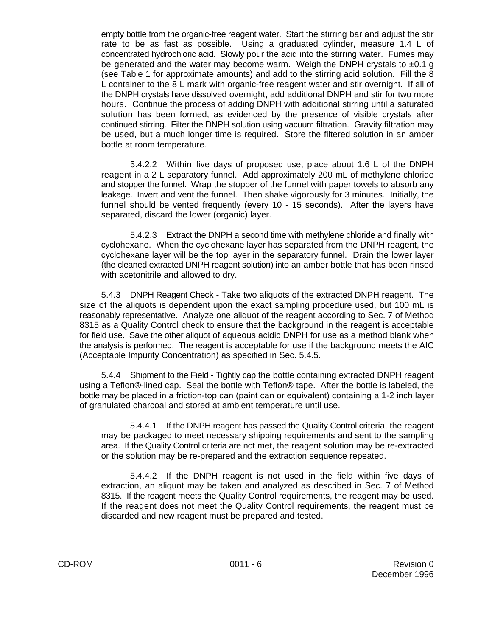empty bottle from the organic-free reagent water. Start the stirring bar and adjust the stir rate to be as fast as possible. Using a graduated cylinder, measure 1.4 L of concentrated hydrochloric acid. Slowly pour the acid into the stirring water. Fumes may be generated and the water may become warm. Weigh the DNPH crystals to  $\pm 0.1$  g (see Table 1 for approximate amounts) and add to the stirring acid solution. Fill the 8 L container to the 8 L mark with organic-free reagent water and stir overnight. If all of the DNPH crystals have dissolved overnight, add additional DNPH and stir for two more hours. Continue the process of adding DNPH with additional stirring until a saturated solution has been formed, as evidenced by the presence of visible crystals after continued stirring. Filter the DNPH solution using vacuum filtration. Gravity filtration may be used, but a much longer time is required. Store the filtered solution in an amber bottle at room temperature.

5.4.2.2 Within five days of proposed use, place about 1.6 L of the DNPH reagent in a 2 L separatory funnel. Add approximately 200 mL of methylene chloride and stopper the funnel. Wrap the stopper of the funnel with paper towels to absorb any leakage. Invert and vent the funnel. Then shake vigorously for 3 minutes. Initially, the funnel should be vented frequently (every 10 - 15 seconds). After the layers have separated, discard the lower (organic) layer.

5.4.2.3 Extract the DNPH a second time with methylene chloride and finally with cyclohexane. When the cyclohexane layer has separated from the DNPH reagent, the cyclohexane layer will be the top layer in the separatory funnel. Drain the lower layer (the cleaned extracted DNPH reagent solution) into an amber bottle that has been rinsed with acetonitrile and allowed to dry.

5.4.3 DNPH Reagent Check - Take two aliquots of the extracted DNPH reagent. The size of the aliquots is dependent upon the exact sampling procedure used, but 100 mL is reasonably representative. Analyze one aliquot of the reagent according to Sec. 7 of Method 8315 as a Quality Control check to ensure that the background in the reagent is acceptable for field use. Save the other aliquot of aqueous acidic DNPH for use as a method blank when the analysis is performed. The reagent is acceptable for use if the background meets the AIC (Acceptable Impurity Concentration) as specified in Sec. 5.4.5.

5.4.4 Shipment to the Field - Tightly cap the bottle containing extracted DNPH reagent using a Teflon®-lined cap. Seal the bottle with Teflon® tape. After the bottle is labeled, the bottle may be placed in a friction-top can (paint can or equivalent) containing a 1-2 inch layer of granulated charcoal and stored at ambient temperature until use.

5.4.4.1 If the DNPH reagent has passed the Quality Control criteria, the reagent may be packaged to meet necessary shipping requirements and sent to the sampling area. If the Quality Control criteria are not met, the reagent solution may be re-extracted or the solution may be re-prepared and the extraction sequence repeated.

5.4.4.2 If the DNPH reagent is not used in the field within five days of extraction, an aliquot may be taken and analyzed as described in Sec. 7 of Method 8315. If the reagent meets the Quality Control requirements, the reagent may be used. If the reagent does not meet the Quality Control requirements, the reagent must be discarded and new reagent must be prepared and tested.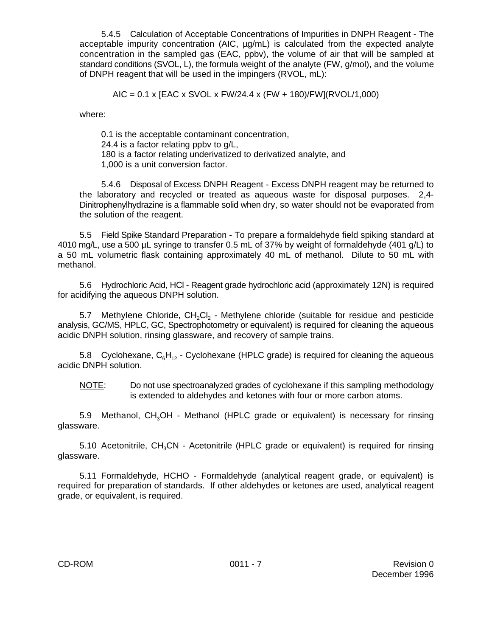5.4.5 Calculation of Acceptable Concentrations of Impurities in DNPH Reagent - The acceptable impurity concentration (AIC, µg/mL) is calculated from the expected analyte concentration in the sampled gas (EAC, ppbv), the volume of air that will be sampled at standard conditions (SVOL, L), the formula weight of the analyte (FW, g/mol), and the volume of DNPH reagent that will be used in the impingers (RVOL, mL):

AIC = 0.1 x [EAC x SVOL x FW/24.4 x (FW + 180)/FW](RVOL/1,000)

where:

0.1 is the acceptable contaminant concentration, 24.4 is a factor relating ppbv to g/L, 180 is a factor relating underivatized to derivatized analyte, and 1,000 is a unit conversion factor.

5.4.6 Disposal of Excess DNPH Reagent - Excess DNPH reagent may be returned to the laboratory and recycled or treated as aqueous waste for disposal purposes. 2,4- Dinitrophenylhydrazine is a flammable solid when dry, so water should not be evaporated from the solution of the reagent.

5.5 Field Spike Standard Preparation - To prepare a formaldehyde field spiking standard at 4010 mg/L, use a 500 µL syringe to transfer 0.5 mL of 37% by weight of formaldehyde (401 g/L) to a 50 mL volumetric flask containing approximately 40 mL of methanol. Dilute to 50 mL with methanol.

5.6 Hydrochloric Acid, HCl - Reagent grade hydrochloric acid (approximately 12N) is required for acidifying the aqueous DNPH solution.

5.7 Methylene Chloride,  $CH_2Cl_2$  - Methylene chloride (suitable for residue and pesticide analysis, GC/MS, HPLC, GC, Spectrophotometry or equivalent) is required for cleaning the aqueous acidic DNPH solution, rinsing glassware, and recovery of sample trains.

5.8 Cyclohexane,  $C_6H_{12}$  - Cyclohexane (HPLC grade) is required for cleaning the aqueous acidic DNPH solution.

NOTE: Do not use spectroanalyzed grades of cyclohexane if this sampling methodology is extended to aldehydes and ketones with four or more carbon atoms.

5.9 Methanol,  $CH<sub>3</sub>OH - Methanol$  (HPLC grade or equivalent) is necessary for rinsing glassware.

5.10 Acetonitrile,  $CH<sub>3</sub>CN -$  Acetonitrile (HPLC grade or equivalent) is required for rinsing glassware.

5.11 Formaldehyde, HCHO - Formaldehyde (analytical reagent grade, or equivalent) is required for preparation of standards. If other aldehydes or ketones are used, analytical reagent grade, or equivalent, is required.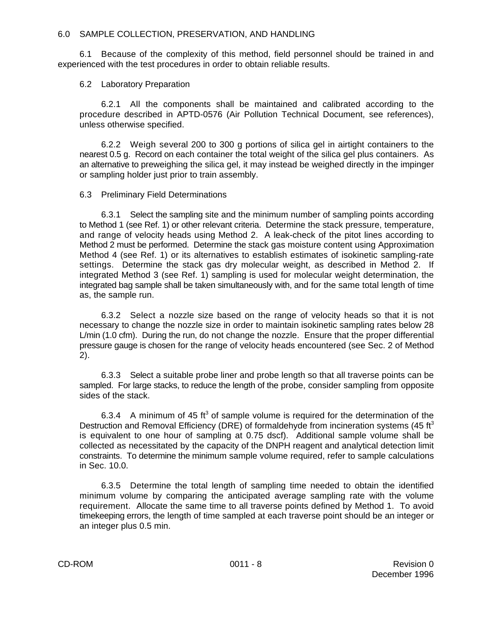6.1 Because of the complexity of this method, field personnel should be trained in and experienced with the test procedures in order to obtain reliable results.

6.2 Laboratory Preparation

6.2.1 All the components shall be maintained and calibrated according to the procedure described in APTD-0576 (Air Pollution Technical Document, see references), unless otherwise specified.

6.2.2 Weigh several 200 to 300 g portions of silica gel in airtight containers to the nearest 0.5 g. Record on each container the total weight of the silica gel plus containers. As an alternative to preweighing the silica gel, it may instead be weighed directly in the impinger or sampling holder just prior to train assembly.

#### 6.3 Preliminary Field Determinations

6.3.1 Select the sampling site and the minimum number of sampling points according to Method 1 (see Ref. 1) or other relevant criteria. Determine the stack pressure, temperature, and range of velocity heads using Method 2. A leak-check of the pitot lines according to Method 2 must be performed. Determine the stack gas moisture content using Approximation Method 4 (see Ref. 1) or its alternatives to establish estimates of isokinetic sampling-rate settings. Determine the stack gas dry molecular weight, as described in Method 2. If integrated Method 3 (see Ref. 1) sampling is used for molecular weight determination, the integrated bag sample shall be taken simultaneously with, and for the same total length of time as, the sample run.

6.3.2 Select a nozzle size based on the range of velocity heads so that it is not necessary to change the nozzle size in order to maintain isokinetic sampling rates below 28 L/min (1.0 cfm). During the run, do not change the nozzle. Ensure that the proper differential pressure gauge is chosen for the range of velocity heads encountered (see Sec. 2 of Method 2).

6.3.3 Select a suitable probe liner and probe length so that all traverse points can be sampled. For large stacks, to reduce the length of the probe, consider sampling from opposite sides of the stack.

6.3.4 A minimum of 45 ft<sup>3</sup> of sample volume is required for the determination of the Destruction and Removal Efficiency (DRE) of formaldehyde from incineration systems (45 ft<sup>3</sup> is equivalent to one hour of sampling at 0.75 dscf). Additional sample volume shall be collected as necessitated by the capacity of the DNPH reagent and analytical detection limit constraints. To determine the minimum sample volume required, refer to sample calculations in Sec. 10.0.

6.3.5 Determine the total length of sampling time needed to obtain the identified minimum volume by comparing the anticipated average sampling rate with the volume requirement. Allocate the same time to all traverse points defined by Method 1. To avoid timekeeping errors, the length of time sampled at each traverse point should be an integer or an integer plus 0.5 min.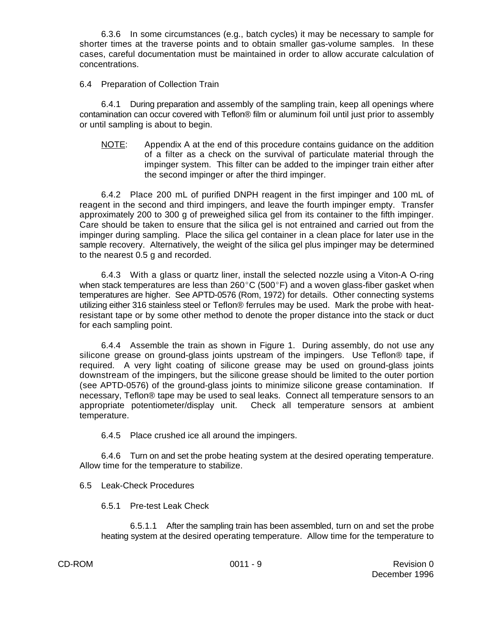6.3.6 In some circumstances (e.g., batch cycles) it may be necessary to sample for shorter times at the traverse points and to obtain smaller gas-volume samples. In these cases, careful documentation must be maintained in order to allow accurate calculation of concentrations.

6.4 Preparation of Collection Train

6.4.1 During preparation and assembly of the sampling train, keep all openings where contamination can occur covered with Teflon® film or aluminum foil until just prior to assembly or until sampling is about to begin.

NOTE: Appendix A at the end of this procedure contains guidance on the addition of a filter as a check on the survival of particulate material through the impinger system. This filter can be added to the impinger train either after the second impinger or after the third impinger.

6.4.2 Place 200 mL of purified DNPH reagent in the first impinger and 100 mL of reagent in the second and third impingers, and leave the fourth impinger empty. Transfer approximately 200 to 300 g of preweighed silica gel from its container to the fifth impinger. Care should be taken to ensure that the silica gel is not entrained and carried out from the impinger during sampling. Place the silica gel container in a clean place for later use in the sample recovery. Alternatively, the weight of the silica gel plus impinger may be determined to the nearest 0.5 g and recorded.

6.4.3 With a glass or quartz liner, install the selected nozzle using a Viton-A O-ring when stack temperatures are less than  $260^{\circ}$ C (500 $^{\circ}$ F) and a woven glass-fiber gasket when temperatures are higher. See APTD-0576 (Rom, 1972) for details. Other connecting systems utilizing either 316 stainless steel or Teflon® ferrules may be used. Mark the probe with heatresistant tape or by some other method to denote the proper distance into the stack or duct for each sampling point.

6.4.4 Assemble the train as shown in Figure 1. During assembly, do not use any silicone grease on ground-glass joints upstream of the impingers. Use Teflon® tape, if required. A very light coating of silicone grease may be used on ground-glass joints downstream of the impingers, but the silicone grease should be limited to the outer portion (see APTD-0576) of the ground-glass joints to minimize silicone grease contamination. If necessary, Teflon® tape may be used to seal leaks. Connect all temperature sensors to an appropriate potentiometer/display unit. Check all temperature sensors at ambient temperature.

6.4.5 Place crushed ice all around the impingers.

6.4.6 Turn on and set the probe heating system at the desired operating temperature. Allow time for the temperature to stabilize.

6.5 Leak-Check Procedures

6.5.1 Pre-test Leak Check

6.5.1.1 After the sampling train has been assembled, turn on and set the probe heating system at the desired operating temperature. Allow time for the temperature to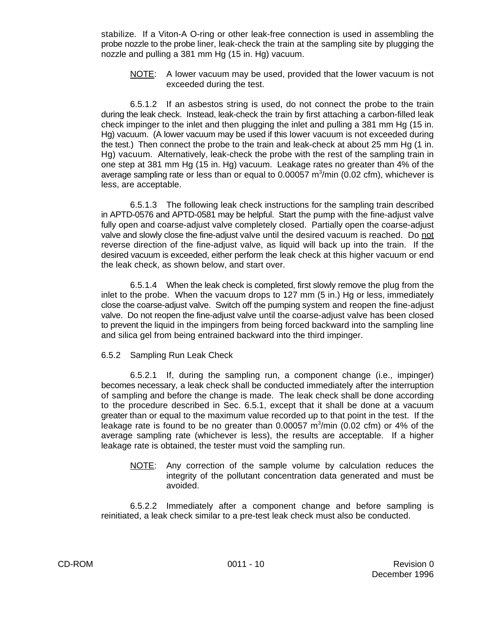stabilize. If a Viton-A O-ring or other leak-free connection is used in assembling the probe nozzle to the probe liner, leak-check the train at the sampling site by plugging the nozzle and pulling a 381 mm Hg (15 in. Hg) vacuum.

NOTE: A lower vacuum may be used, provided that the lower vacuum is not exceeded during the test.

6.5.1.2 If an asbestos string is used, do not connect the probe to the train during the leak check. Instead, leak-check the train by first attaching a carbon-filled leak check impinger to the inlet and then plugging the inlet and pulling a 381 mm Hg (15 in. Hg) vacuum. (A lower vacuum may be used if this lower vacuum is not exceeded during the test.) Then connect the probe to the train and leak-check at about 25 mm Hg (1 in. Hg) vacuum. Alternatively, leak-check the probe with the rest of the sampling train in one step at 381 mm Hg (15 in. Hg) vacuum. Leakage rates no greater than 4% of the average sampling rate or less than or equal to  $0.00057$  m<sup>3</sup>/min (0.02 cfm), whichever is less, are acceptable.

6.5.1.3 The following leak check instructions for the sampling train described in APTD-0576 and APTD-0581 may be helpful. Start the pump with the fine-adjust valve fully open and coarse-adjust valve completely closed. Partially open the coarse-adjust valve and slowly close the fine-adjust valve until the desired vacuum is reached. Do not reverse direction of the fine-adjust valve, as liquid will back up into the train. If the desired vacuum is exceeded, either perform the leak check at this higher vacuum or end the leak check, as shown below, and start over.

6.5.1.4 When the leak check is completed, first slowly remove the plug from the inlet to the probe. When the vacuum drops to 127 mm (5 in.) Hg or less, immediately close the coarse-adjust valve. Switch off the pumping system and reopen the fine-adjust valve. Do not reopen the fine-adjust valve until the coarse-adjust valve has been closed to prevent the liquid in the impingers from being forced backward into the sampling line and silica gel from being entrained backward into the third impinger.

## 6.5.2 Sampling Run Leak Check

6.5.2.1 If, during the sampling run, a component change (i.e., impinger) becomes necessary, a leak check shall be conducted immediately after the interruption of sampling and before the change is made. The leak check shall be done according to the procedure described in Sec. 6.5.1, except that it shall be done at a vacuum greater than or equal to the maximum value recorded up to that point in the test. If the leakage rate is found to be no greater than  $0.00057$  m $\frac{3}{min}$  (0.02 cfm) or 4% of the average sampling rate (whichever is less), the results are acceptable. If a higher leakage rate is obtained, the tester must void the sampling run.

NOTE: Any correction of the sample volume by calculation reduces the integrity of the pollutant concentration data generated and must be avoided.

6.5.2.2 Immediately after a component change and before sampling is reinitiated, a leak check similar to a pre-test leak check must also be conducted.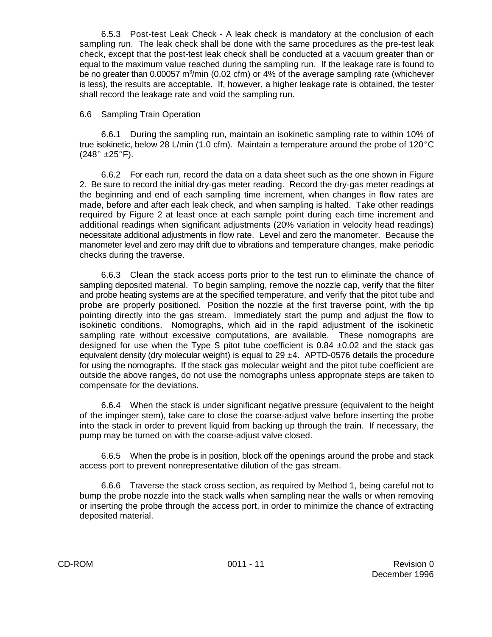6.5.3 Post-test Leak Check - A leak check is mandatory at the conclusion of each sampling run. The leak check shall be done with the same procedures as the pre-test leak check, except that the post-test leak check shall be conducted at a vacuum greater than or equal to the maximum value reached during the sampling run. If the leakage rate is found to be no greater than 0.00057 m<sup>3</sup>/min (0.02 cfm) or 4% of the average sampling rate (whichever is less), the results are acceptable. If, however, a higher leakage rate is obtained, the tester shall record the leakage rate and void the sampling run.

#### 6.6 Sampling Train Operation

6.6.1 During the sampling run, maintain an isokinetic sampling rate to within 10% of true isokinetic, below 28 L/min (1.0 cfm). Maintain a temperature around the probe of  $120^{\circ}$ C  $(248^\circ \pm 25^\circ)$ F).

6.6.2 For each run, record the data on a data sheet such as the one shown in Figure 2. Be sure to record the initial dry-gas meter reading. Record the dry-gas meter readings at the beginning and end of each sampling time increment, when changes in flow rates are made, before and after each leak check, and when sampling is halted. Take other readings required by Figure 2 at least once at each sample point during each time increment and additional readings when significant adjustments (20% variation in velocity head readings) necessitate additional adjustments in flow rate. Level and zero the manometer. Because the manometer level and zero may drift due to vibrations and temperature changes, make periodic checks during the traverse.

6.6.3 Clean the stack access ports prior to the test run to eliminate the chance of sampling deposited material. To begin sampling, remove the nozzle cap, verify that the filter and probe heating systems are at the specified temperature, and verify that the pitot tube and probe are properly positioned. Position the nozzle at the first traverse point, with the tip pointing directly into the gas stream. Immediately start the pump and adjust the flow to isokinetic conditions. Nomographs, which aid in the rapid adjustment of the isokinetic sampling rate without excessive computations, are available. These nomographs are designed for use when the Type S pitot tube coefficient is  $0.84 \pm 0.02$  and the stack gas equivalent density (dry molecular weight) is equal to 29  $\pm$ 4. APTD-0576 details the procedure for using the nomographs. If the stack gas molecular weight and the pitot tube coefficient are outside the above ranges, do not use the nomographs unless appropriate steps are taken to compensate for the deviations.

6.6.4 When the stack is under significant negative pressure (equivalent to the height of the impinger stem), take care to close the coarse-adjust valve before inserting the probe into the stack in order to prevent liquid from backing up through the train. If necessary, the pump may be turned on with the coarse-adjust valve closed.

6.6.5 When the probe is in position, block off the openings around the probe and stack access port to prevent nonrepresentative dilution of the gas stream.

6.6.6 Traverse the stack cross section, as required by Method 1, being careful not to bump the probe nozzle into the stack walls when sampling near the walls or when removing or inserting the probe through the access port, in order to minimize the chance of extracting deposited material.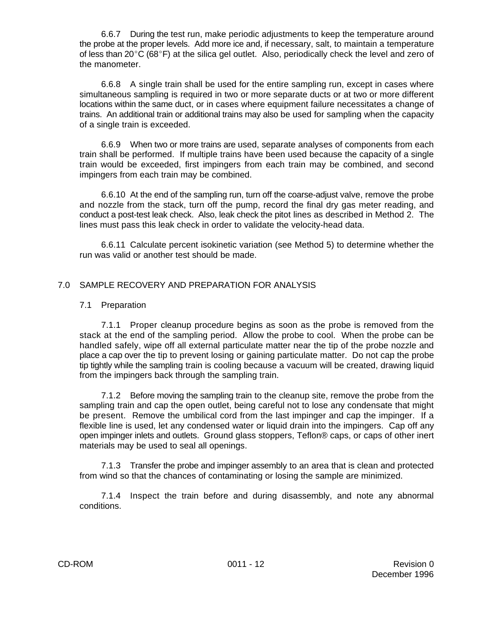6.6.7 During the test run, make periodic adjustments to keep the temperature around the probe at the proper levels. Add more ice and, if necessary, salt, to maintain a temperature of less than  $20^{\circ}$ C (68 $^{\circ}$ F) at the silica gel outlet. Also, periodically check the level and zero of the manometer.

6.6.8 A single train shall be used for the entire sampling run, except in cases where simultaneous sampling is required in two or more separate ducts or at two or more different locations within the same duct, or in cases where equipment failure necessitates a change of trains. An additional train or additional trains may also be used for sampling when the capacity of a single train is exceeded.

6.6.9 When two or more trains are used, separate analyses of components from each train shall be performed. If multiple trains have been used because the capacity of a single train would be exceeded, first impingers from each train may be combined, and second impingers from each train may be combined.

6.6.10 At the end of the sampling run, turn off the coarse-adjust valve, remove the probe and nozzle from the stack, turn off the pump, record the final dry gas meter reading, and conduct a post-test leak check. Also, leak check the pitot lines as described in Method 2. The lines must pass this leak check in order to validate the velocity-head data.

6.6.11 Calculate percent isokinetic variation (see Method 5) to determine whether the run was valid or another test should be made.

## 7.0 SAMPLE RECOVERY AND PREPARATION FOR ANALYSIS

#### 7.1 Preparation

7.1.1 Proper cleanup procedure begins as soon as the probe is removed from the stack at the end of the sampling period. Allow the probe to cool. When the probe can be handled safely, wipe off all external particulate matter near the tip of the probe nozzle and place a cap over the tip to prevent losing or gaining particulate matter. Do not cap the probe tip tightly while the sampling train is cooling because a vacuum will be created, drawing liquid from the impingers back through the sampling train.

7.1.2 Before moving the sampling train to the cleanup site, remove the probe from the sampling train and cap the open outlet, being careful not to lose any condensate that might be present. Remove the umbilical cord from the last impinger and cap the impinger. If a flexible line is used, let any condensed water or liquid drain into the impingers. Cap off any open impinger inlets and outlets. Ground glass stoppers, Teflon® caps, or caps of other inert materials may be used to seal all openings.

7.1.3 Transfer the probe and impinger assembly to an area that is clean and protected from wind so that the chances of contaminating or losing the sample are minimized.

7.1.4 Inspect the train before and during disassembly, and note any abnormal conditions.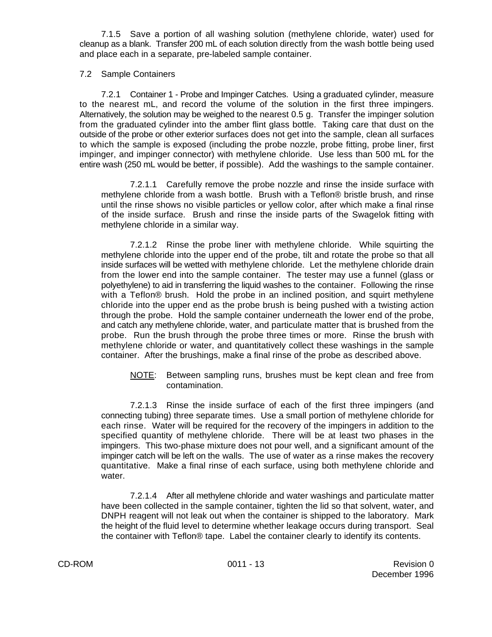7.1.5 Save a portion of all washing solution (methylene chloride, water) used for cleanup as a blank. Transfer 200 mL of each solution directly from the wash bottle being used and place each in a separate, pre-labeled sample container.

#### 7.2 Sample Containers

7.2.1 Container 1 - Probe and Impinger Catches. Using a graduated cylinder, measure to the nearest mL, and record the volume of the solution in the first three impingers. Alternatively, the solution may be weighed to the nearest 0.5 g. Transfer the impinger solution from the graduated cylinder into the amber flint glass bottle. Taking care that dust on the outside of the probe or other exterior surfaces does not get into the sample, clean all surfaces to which the sample is exposed (including the probe nozzle, probe fitting, probe liner, first impinger, and impinger connector) with methylene chloride. Use less than 500 mL for the entire wash (250 mL would be better, if possible). Add the washings to the sample container.

7.2.1.1 Carefully remove the probe nozzle and rinse the inside surface with methylene chloride from a wash bottle. Brush with a Teflon® bristle brush, and rinse until the rinse shows no visible particles or yellow color, after which make a final rinse of the inside surface. Brush and rinse the inside parts of the Swagelok fitting with methylene chloride in a similar way.

7.2.1.2 Rinse the probe liner with methylene chloride. While squirting the methylene chloride into the upper end of the probe, tilt and rotate the probe so that all inside surfaces will be wetted with methylene chloride. Let the methylene chloride drain from the lower end into the sample container. The tester may use a funnel (glass or polyethylene) to aid in transferring the liquid washes to the container. Following the rinse with a Teflon® brush. Hold the probe in an inclined position, and squirt methylene chloride into the upper end as the probe brush is being pushed with a twisting action through the probe. Hold the sample container underneath the lower end of the probe, and catch any methylene chloride, water, and particulate matter that is brushed from the probe. Run the brush through the probe three times or more. Rinse the brush with methylene chloride or water, and quantitatively collect these washings in the sample container. After the brushings, make a final rinse of the probe as described above.

NOTE: Between sampling runs, brushes must be kept clean and free from contamination.

7.2.1.3 Rinse the inside surface of each of the first three impingers (and connecting tubing) three separate times. Use a small portion of methylene chloride for each rinse. Water will be required for the recovery of the impingers in addition to the specified quantity of methylene chloride. There will be at least two phases in the impingers. This two-phase mixture does not pour well, and a significant amount of the impinger catch will be left on the walls. The use of water as a rinse makes the recovery quantitative. Make a final rinse of each surface, using both methylene chloride and water.

7.2.1.4 After all methylene chloride and water washings and particulate matter have been collected in the sample container, tighten the lid so that solvent, water, and DNPH reagent will not leak out when the container is shipped to the laboratory. Mark the height of the fluid level to determine whether leakage occurs during transport. Seal the container with Teflon® tape. Label the container clearly to identify its contents.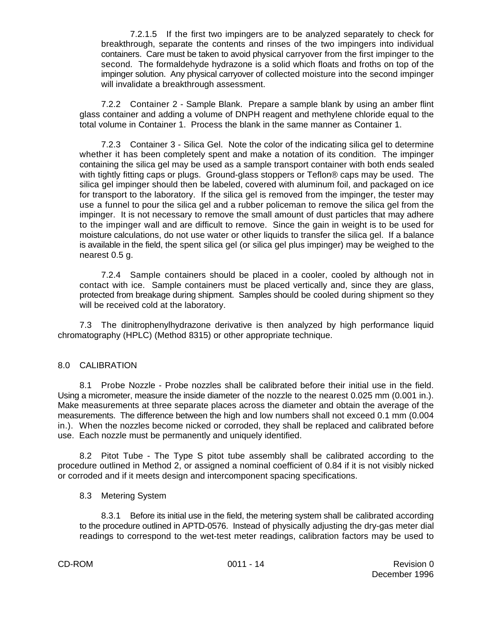7.2.1.5 If the first two impingers are to be analyzed separately to check for breakthrough, separate the contents and rinses of the two impingers into individual containers. Care must be taken to avoid physical carryover from the first impinger to the second. The formaldehyde hydrazone is a solid which floats and froths on top of the impinger solution. Any physical carryover of collected moisture into the second impinger will invalidate a breakthrough assessment.

7.2.2 Container 2 - Sample Blank. Prepare a sample blank by using an amber flint glass container and adding a volume of DNPH reagent and methylene chloride equal to the total volume in Container 1. Process the blank in the same manner as Container 1.

7.2.3 Container 3 - Silica Gel. Note the color of the indicating silica gel to determine whether it has been completely spent and make a notation of its condition. The impinger containing the silica gel may be used as a sample transport container with both ends sealed with tightly fitting caps or plugs. Ground-glass stoppers or Teflon® caps may be used. The silica gel impinger should then be labeled, covered with aluminum foil, and packaged on ice for transport to the laboratory. If the silica gel is removed from the impinger, the tester may use a funnel to pour the silica gel and a rubber policeman to remove the silica gel from the impinger. It is not necessary to remove the small amount of dust particles that may adhere to the impinger wall and are difficult to remove. Since the gain in weight is to be used for moisture calculations, do not use water or other liquids to transfer the silica gel. If a balance is available in the field, the spent silica gel (or silica gel plus impinger) may be weighed to the nearest 0.5 g.

7.2.4 Sample containers should be placed in a cooler, cooled by although not in contact with ice. Sample containers must be placed vertically and, since they are glass, protected from breakage during shipment. Samples should be cooled during shipment so they will be received cold at the laboratory.

7.3 The dinitrophenylhydrazone derivative is then analyzed by high performance liquid chromatography (HPLC) (Method 8315) or other appropriate technique.

## 8.0 CALIBRATION

8.1 Probe Nozzle - Probe nozzles shall be calibrated before their initial use in the field. Using a micrometer, measure the inside diameter of the nozzle to the nearest 0.025 mm (0.001 in.). Make measurements at three separate places across the diameter and obtain the average of the measurements. The difference between the high and low numbers shall not exceed 0.1 mm (0.004 in.). When the nozzles become nicked or corroded, they shall be replaced and calibrated before use. Each nozzle must be permanently and uniquely identified.

8.2 Pitot Tube - The Type S pitot tube assembly shall be calibrated according to the procedure outlined in Method 2, or assigned a nominal coefficient of 0.84 if it is not visibly nicked or corroded and if it meets design and intercomponent spacing specifications.

### 8.3 Metering System

8.3.1 Before its initial use in the field, the metering system shall be calibrated according to the procedure outlined in APTD-0576. Instead of physically adjusting the dry-gas meter dial readings to correspond to the wet-test meter readings, calibration factors may be used to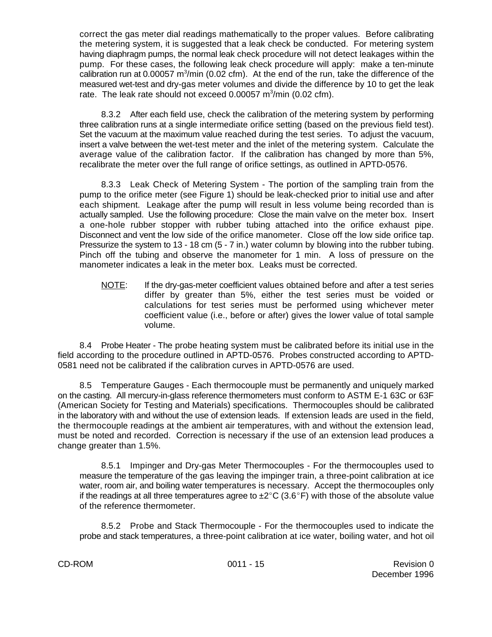correct the gas meter dial readings mathematically to the proper values. Before calibrating the metering system, it is suggested that a leak check be conducted. For metering system having diaphragm pumps, the normal leak check procedure will not detect leakages within the pump. For these cases, the following leak check procedure will apply: make a ten-minute calibration run at 0.00057 m<sup>3</sup>/min (0.02 cfm). At the end of the run, take the difference of the measured wet-test and dry-gas meter volumes and divide the difference by 10 to get the leak rate. The leak rate should not exceed  $0.00057$  m<sup>3</sup>/min (0.02 cfm).

8.3.2 After each field use, check the calibration of the metering system by performing three calibration runs at a single intermediate orifice setting (based on the previous field test). Set the vacuum at the maximum value reached during the test series. To adjust the vacuum, insert a valve between the wet-test meter and the inlet of the metering system. Calculate the average value of the calibration factor. If the calibration has changed by more than 5%, recalibrate the meter over the full range of orifice settings, as outlined in APTD-0576.

8.3.3 Leak Check of Metering System - The portion of the sampling train from the pump to the orifice meter (see Figure 1) should be leak-checked prior to initial use and after each shipment. Leakage after the pump will result in less volume being recorded than is actually sampled. Use the following procedure: Close the main valve on the meter box. Insert a one-hole rubber stopper with rubber tubing attached into the orifice exhaust pipe. Disconnect and vent the low side of the orifice manometer. Close off the low side orifice tap. Pressurize the system to 13 - 18 cm (5 - 7 in.) water column by blowing into the rubber tubing. Pinch off the tubing and observe the manometer for 1 min. A loss of pressure on the manometer indicates a leak in the meter box. Leaks must be corrected.

NOTE: If the dry-gas-meter coefficient values obtained before and after a test series differ by greater than 5%, either the test series must be voided or calculations for test series must be performed using whichever meter coefficient value (i.e., before or after) gives the lower value of total sample volume.

8.4 Probe Heater - The probe heating system must be calibrated before its initial use in the field according to the procedure outlined in APTD-0576. Probes constructed according to APTD-0581 need not be calibrated if the calibration curves in APTD-0576 are used.

8.5 Temperature Gauges - Each thermocouple must be permanently and uniquely marked on the casting. All mercury-in-glass reference thermometers must conform to ASTM E-1 63C or 63F (American Society for Testing and Materials) specifications. Thermocouples should be calibrated in the laboratory with and without the use of extension leads. If extension leads are used in the field, the thermocouple readings at the ambient air temperatures, with and without the extension lead, must be noted and recorded. Correction is necessary if the use of an extension lead produces a change greater than 1.5%.

8.5.1 Impinger and Dry-gas Meter Thermocouples - For the thermocouples used to measure the temperature of the gas leaving the impinger train, a three-point calibration at ice water, room air, and boiling water temperatures is necessary. Accept the thermocouples only if the readings at all three temperatures agree to  $\pm 2^{\circ}C$  (3.6°F) with those of the absolute value of the reference thermometer.

8.5.2 Probe and Stack Thermocouple - For the thermocouples used to indicate the probe and stack temperatures, a three-point calibration at ice water, boiling water, and hot oil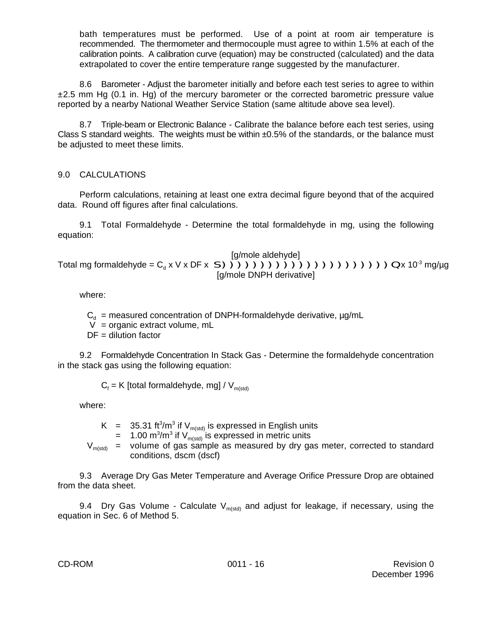bath temperatures must be performed. Use of a point at room air temperature is recommended. The thermometer and thermocouple must agree to within 1.5% at each of the calibration points. A calibration curve (equation) may be constructed (calculated) and the data extrapolated to cover the entire temperature range suggested by the manufacturer.

8.6 Barometer - Adjust the barometer initially and before each test series to agree to within  $\pm 2.5$  mm Hg (0.1 in. Hg) of the mercury barometer or the corrected barometric pressure value reported by a nearby National Weather Service Station (same altitude above sea level).

8.7 Triple-beam or Electronic Balance - Calibrate the balance before each test series, using Class S standard weights. The weights must be within  $\pm 0.5\%$  of the standards, or the balance must be adjusted to meet these limits.

## 9.0 CALCULATIONS

Perform calculations, retaining at least one extra decimal figure beyond that of the acquired data. Round off figures after final calculations.

9.1 Total Formaldehyde - Determine the total formaldehyde in mg, using the following equation:

[g/mole aldehyde] Total mg formaldehyde =  $C_d x V x DF x S$ ))))))))))))))))))))))))))) [g/mole DNPH derivative]

where:

 $C_d$  = measured concentration of DNPH-formaldehyde derivative,  $\mu$ g/mL

V = organic extract volume, mL

 $DF =$  dilution factor

9.2 Formaldehyde Concentration In Stack Gas - Determine the formaldehyde concentration in the stack gas using the following equation:

 $C_f$  = K [total formaldehyde, mg] /  $V_{m(std)}$ 

where:

K = 35.31 ft<sup>3</sup>/m<sup>3</sup> if V<sub>m(std)</sub> is expressed in English units<br>= 1.00 m<sup>3</sup>/m<sup>3</sup> if V<sub>m(std)</sub> is expressed in metric units

 $V_{m(std)}$  = volume of gas sample as measured by dry gas meter, corrected to standard conditions, dscm (dscf)

9.3 Average Dry Gas Meter Temperature and Average Orifice Pressure Drop are obtained from the data sheet.

9.4 Dry Gas Volume - Calculate  $V_{m(std)}$  and adjust for leakage, if necessary, using the equation in Sec. 6 of Method 5.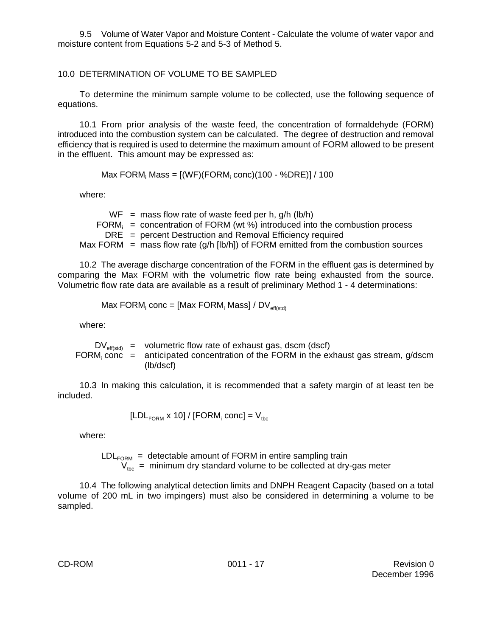9.5 Volume of Water Vapor and Moisture Content - Calculate the volume of water vapor and moisture content from Equations 5-2 and 5-3 of Method 5.

## 10.0 DETERMINATION OF VOLUME TO BE SAMPLED

To determine the minimum sample volume to be collected, use the following sequence of equations.

10.1 From prior analysis of the waste feed, the concentration of formaldehyde (FORM) introduced into the combustion system can be calculated. The degree of destruction and removal efficiency that is required is used to determine the maximum amount of FORM allowed to be present in the effluent. This amount may be expressed as:

Max FORM<sub>i</sub> Mass = [(WF)(FORM<sub>i</sub> conc)(100 - %DRE)] / 100

where:

 $WF$  = mass flow rate of waste feed per h,  $g/h$  (lb/h) FORM $i =$  concentration of FORM (wt %) introduced into the combustion process DRE = percent Destruction and Removal Efficiency required Max FORM  $=$  mass flow rate (q/h [lb/h]) of FORM emitted from the combustion sources

10.2 The average discharge concentration of the FORM in the effluent gas is determined by comparing the Max FORM with the volumetric flow rate being exhausted from the source. Volumetric flow rate data are available as a result of preliminary Method 1 - 4 determinations:

$$
Max FORM_i conc = [Max FORM_i Mass] / DV_{eff(std)}
$$

where:

 $DV_{\text{eff}(std)}$  = volumetric flow rate of exhaust gas, dscm (dscf) FORM<sub>i</sub> conc  $=$  anticipated concentration of the FORM in the exhaust gas stream, g/dscm (lb/dscf)

10.3 In making this calculation, it is recommended that a safety margin of at least ten be included.

$$
[LDL_{FORM} \times 10] / [FORM_i \text{ conc}] = V_{\text{tbc}}
$$

where:

 $LDL_{FORM}$  = detectable amount of FORM in entire sampling train  $V_{\text{thc}}$  = minimum dry standard volume to be collected at dry-gas meter

10.4 The following analytical detection limits and DNPH Reagent Capacity (based on a total volume of 200 mL in two impingers) must also be considered in determining a volume to be sampled.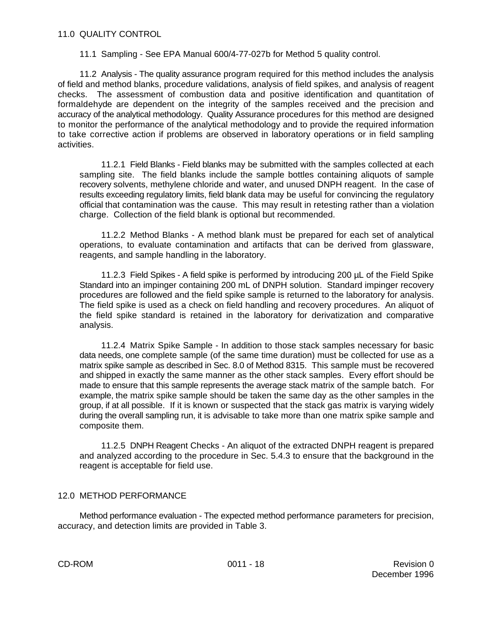11.1 Sampling - See EPA Manual 600/4-77-027b for Method 5 quality control.

11.2 Analysis - The quality assurance program required for this method includes the analysis of field and method blanks, procedure validations, analysis of field spikes, and analysis of reagent checks. The assessment of combustion data and positive identification and quantitation of formaldehyde are dependent on the integrity of the samples received and the precision and accuracy of the analytical methodology. Quality Assurance procedures for this method are designed to monitor the performance of the analytical methodology and to provide the required information to take corrective action if problems are observed in laboratory operations or in field sampling activities.

11.2.1 Field Blanks - Field blanks may be submitted with the samples collected at each sampling site. The field blanks include the sample bottles containing aliquots of sample recovery solvents, methylene chloride and water, and unused DNPH reagent. In the case of results exceeding regulatory limits, field blank data may be useful for convincing the regulatory official that contamination was the cause. This may result in retesting rather than a violation charge. Collection of the field blank is optional but recommended.

11.2.2 Method Blanks - A method blank must be prepared for each set of analytical operations, to evaluate contamination and artifacts that can be derived from glassware, reagents, and sample handling in the laboratory.

11.2.3 Field Spikes - A field spike is performed by introducing 200 µL of the Field Spike Standard into an impinger containing 200 mL of DNPH solution. Standard impinger recovery procedures are followed and the field spike sample is returned to the laboratory for analysis. The field spike is used as a check on field handling and recovery procedures. An aliquot of the field spike standard is retained in the laboratory for derivatization and comparative analysis.

11.2.4 Matrix Spike Sample - In addition to those stack samples necessary for basic data needs, one complete sample (of the same time duration) must be collected for use as a matrix spike sample as described in Sec. 8.0 of Method 8315. This sample must be recovered and shipped in exactly the same manner as the other stack samples. Every effort should be made to ensure that this sample represents the average stack matrix of the sample batch. For example, the matrix spike sample should be taken the same day as the other samples in the group, if at all possible. If it is known or suspected that the stack gas matrix is varying widely during the overall sampling run, it is advisable to take more than one matrix spike sample and composite them.

11.2.5 DNPH Reagent Checks - An aliquot of the extracted DNPH reagent is prepared and analyzed according to the procedure in Sec. 5.4.3 to ensure that the background in the reagent is acceptable for field use.

## 12.0 METHOD PERFORMANCE

Method performance evaluation - The expected method performance parameters for precision, accuracy, and detection limits are provided in Table 3.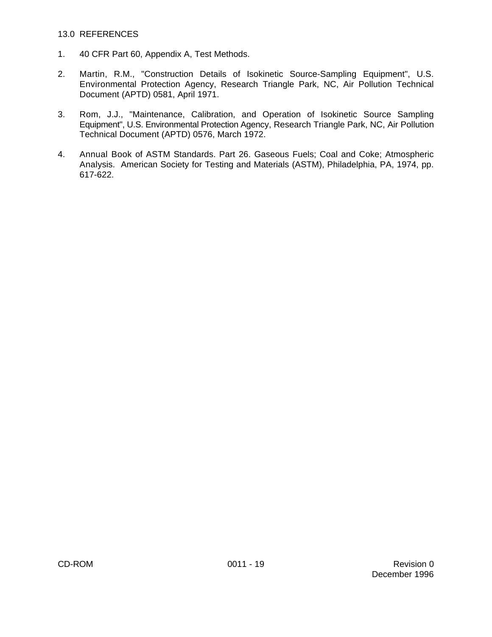#### 13.0 REFERENCES

- 1. 40 CFR Part 60, Appendix A, Test Methods.
- 2. Martin, R.M., "Construction Details of Isokinetic Source-Sampling Equipment", U.S. Environmental Protection Agency, Research Triangle Park, NC, Air Pollution Technical Document (APTD) 0581, April 1971.
- 3. Rom, J.J., "Maintenance, Calibration, and Operation of Isokinetic Source Sampling Equipment", U.S. Environmental Protection Agency, Research Triangle Park, NC, Air Pollution Technical Document (APTD) 0576, March 1972.
- 4. Annual Book of ASTM Standards. Part 26. Gaseous Fuels; Coal and Coke; Atmospheric Analysis. American Society for Testing and Materials (ASTM), Philadelphia, PA, 1974, pp. 617-622.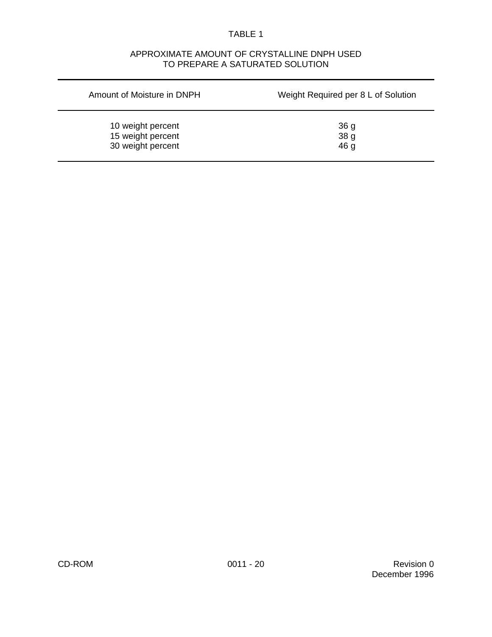### TABLE 1

## APPROXIMATE AMOUNT OF CRYSTALLINE DNPH USED TO PREPARE A SATURATED SOLUTION

| Amount of Moisture in DNPH | Weight Required per 8 L of Solution |  |  |  |
|----------------------------|-------------------------------------|--|--|--|
| 10 weight percent          | 36 g                                |  |  |  |
| 15 weight percent          | 38 g                                |  |  |  |
| 30 weight percent          | 46 <sub>g</sub>                     |  |  |  |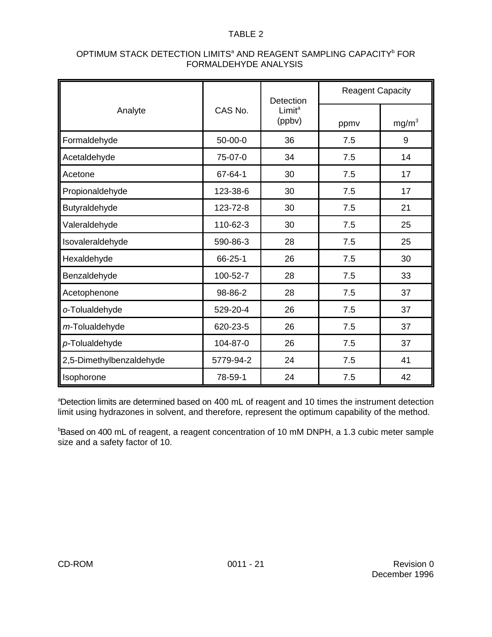### TABLE 2

|                          |           | Detection                    | <b>Reagent Capacity</b> |                   |  |
|--------------------------|-----------|------------------------------|-------------------------|-------------------|--|
| Analyte                  | CAS No.   | Limit <sup>a</sup><br>(ppbv) | ppmv                    | mg/m <sup>3</sup> |  |
| Formaldehyde             | 50-00-0   | 36                           | 7.5                     | 9                 |  |
| Acetaldehyde             | 75-07-0   | 34                           | 7.5                     | 14                |  |
| Acetone                  | 67-64-1   | 30                           | 7.5                     | 17                |  |
| Propionaldehyde          | 123-38-6  | 30                           | 7.5                     | 17                |  |
| Butyraldehyde            | 123-72-8  | 30                           | 7.5                     | 21                |  |
| Valeraldehyde            | 110-62-3  | 30                           | 7.5                     | 25                |  |
| Isovaleraldehyde         | 590-86-3  | 28                           | 7.5                     | 25                |  |
| Hexaldehyde              | 66-25-1   | 26                           | 7.5                     | 30                |  |
| Benzaldehyde             | 100-52-7  | 28                           | 7.5                     | 33                |  |
| Acetophenone             | 98-86-2   | 28                           | 7.5                     | 37                |  |
| o-Tolualdehyde           | 529-20-4  | 26                           | 7.5                     | 37                |  |
| m-Tolualdehyde           | 620-23-5  | 26                           | 7.5                     | 37                |  |
| p-Tolualdehyde           | 104-87-0  | 26                           | 7.5                     | 37                |  |
| 2,5-Dimethylbenzaldehyde | 5779-94-2 | 24                           | 7.5                     | 41                |  |
| Isophorone               | 78-59-1   | 24                           | 7.5                     | 42                |  |

## OPTIMUM STACK DETECTION LIMITS<sup>a</sup> AND REAGENT SAMPLING CAPACITY<sup>b</sup> FOR FORMALDEHYDE ANALYSIS

aDetection limits are determined based on 400 mL of reagent and 10 times the instrument detection limit using hydrazones in solvent, and therefore, represent the optimum capability of the method.

 $b$ Based on 400 mL of reagent, a reagent concentration of 10 mM DNPH, a 1.3 cubic meter sample size and a safety factor of 10.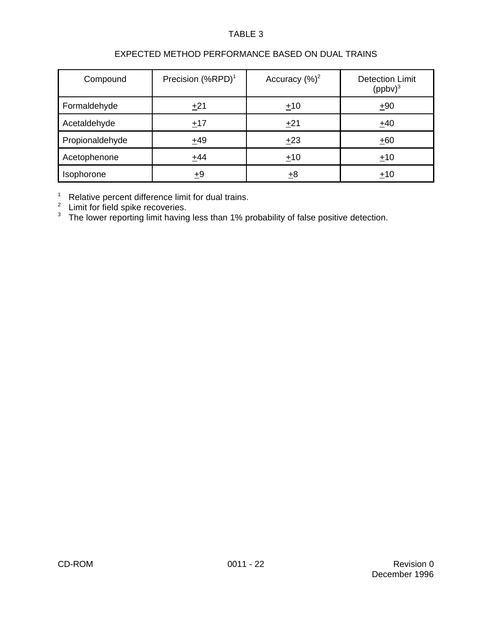## TABLE 3

# EXPECTED METHOD PERFORMANCE BASED ON DUAL TRAINS

| Compound        | Precision (%RPD) <sup>1</sup> | Accuracy $(\%)^2$ | <b>Detection Limit</b><br>$(ppbv)^3$ |
|-----------------|-------------------------------|-------------------|--------------------------------------|
| Formaldehyde    | ±21                           | ±10               | ±90                                  |
| Acetaldehyde    | ±17                           | ±21               | ±40                                  |
| Propionaldehyde | $+49$                         | ±23               | $+60$                                |
| Acetophenone    | $+44$                         | ±10               | $+10$                                |
| Isophorone      | ±9                            | ±8                | ±10                                  |

 $1$  Relative percent difference limit for dual trains.

 $2$  Limit for field spike recoveries.

 $3$  The lower reporting limit having less than 1% probability of false positive detection.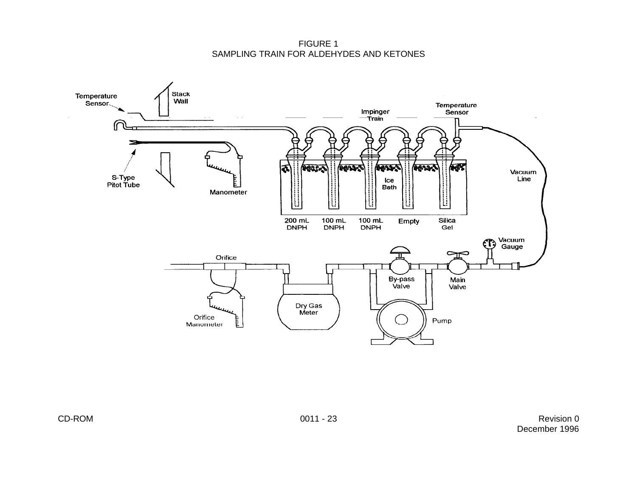FIGURE 1 SAMPLING TRAIN FOR ALDEHYDES AND KETONES

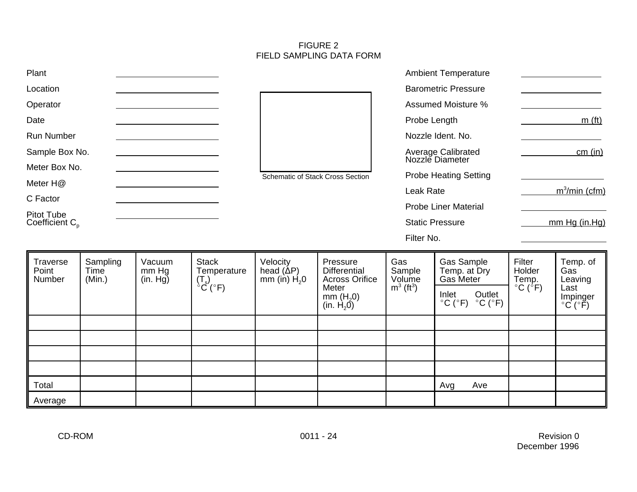#### FIGURE 2 FIELD SAMPLING DATA FORM

| Plant                                    |                            |                             |                                                  |                                                |                                                                                                  |                                                     | <b>Ambient Temperature</b>                                                                                                 |                                                           |                                                                               |
|------------------------------------------|----------------------------|-----------------------------|--------------------------------------------------|------------------------------------------------|--------------------------------------------------------------------------------------------------|-----------------------------------------------------|----------------------------------------------------------------------------------------------------------------------------|-----------------------------------------------------------|-------------------------------------------------------------------------------|
| Location                                 |                            |                             |                                                  | <b>Barometric Pressure</b>                     |                                                                                                  |                                                     |                                                                                                                            |                                                           |                                                                               |
| Operator                                 |                            |                             |                                                  | <b>Assumed Moisture %</b>                      |                                                                                                  |                                                     |                                                                                                                            |                                                           |                                                                               |
| Date                                     |                            |                             |                                                  |                                                | Probe Length                                                                                     |                                                     | m(f <sub>t</sub> )                                                                                                         |                                                           |                                                                               |
| <b>Run Number</b>                        |                            |                             |                                                  | Nozzle Ident. No.                              |                                                                                                  |                                                     |                                                                                                                            |                                                           |                                                                               |
| Sample Box No.                           |                            |                             |                                                  | Average Calibrated<br>Nozzle Diameter          |                                                                                                  |                                                     | cm (in)                                                                                                                    |                                                           |                                                                               |
| Meter Box No.                            |                            |                             |                                                  | Schematic of Stack Cross Section               |                                                                                                  |                                                     | <b>Probe Heating Setting</b>                                                                                               |                                                           |                                                                               |
| Meter H@                                 |                            |                             |                                                  | Leak Rate                                      |                                                                                                  | $m^3$ /min (cfm)                                    |                                                                                                                            |                                                           |                                                                               |
| C Factor                                 |                            |                             |                                                  |                                                | <b>Probe Liner Material</b>                                                                      |                                                     |                                                                                                                            |                                                           |                                                                               |
| <b>Pitot Tube</b><br>Coefficient $C_{p}$ |                            |                             |                                                  | <b>Static Pressure</b>                         |                                                                                                  | mm Hg (in.Hg)                                       |                                                                                                                            |                                                           |                                                                               |
|                                          |                            |                             |                                                  |                                                |                                                                                                  | Filter No.                                          |                                                                                                                            |                                                           |                                                                               |
| Traverse<br>Point<br>Number              | Sampling<br>Time<br>(Min.) | Vacuum<br>mm Hg<br>(in. Hg) | <b>Stack</b><br>Temperature<br>$T_s$ )<br>°C(°F) | Velocity<br>head $(\Delta P)$<br>mm (in) $H20$ | Pressure<br><b>Differential</b><br><b>Across Orifice</b><br>Meter<br>mm $(H20)$<br>(in. $H_2$ 0) | Gas<br>Sample<br>Volume<br>$m^3$ (ft <sup>3</sup> ) | Gas Sample<br>Temp. at Dry<br>Gas Meter<br>Outlet<br>Inlet<br>$^{\circ}$ C ( $^{\circ}$ F)<br>$^{\circ}$ C ( $^{\circ}$ F) | Filter<br>Holder<br>Temp.<br>$^{\circ}$ C ( $^{\circ}$ F) | Temp. of<br>Gas<br>Leaving<br>Last<br>Impinger<br>$^{\circ}C$ ( $^{\circ}$ F) |
|                                          |                            |                             |                                                  |                                                |                                                                                                  |                                                     |                                                                                                                            |                                                           |                                                                               |
|                                          |                            |                             |                                                  |                                                |                                                                                                  |                                                     |                                                                                                                            |                                                           |                                                                               |
|                                          |                            |                             |                                                  |                                                |                                                                                                  |                                                     |                                                                                                                            |                                                           |                                                                               |
|                                          |                            |                             |                                                  |                                                |                                                                                                  |                                                     |                                                                                                                            |                                                           |                                                                               |
| Total                                    |                            |                             |                                                  |                                                |                                                                                                  |                                                     | Ave<br>Avg                                                                                                                 |                                                           |                                                                               |
| Average                                  |                            |                             |                                                  |                                                |                                                                                                  |                                                     |                                                                                                                            |                                                           |                                                                               |